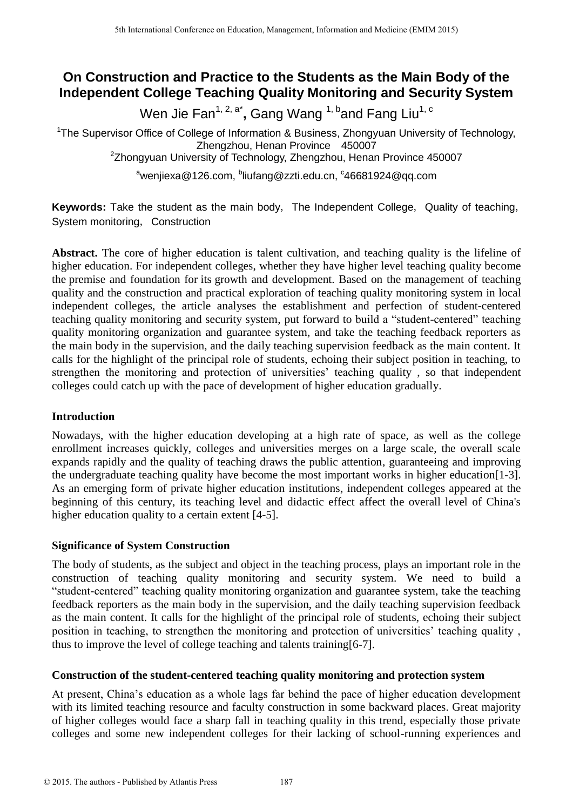# **On Construction and Practice to the Students as the Main Body of the Independent College Teaching Quality Monitoring and Security System**

Wen Jie Fan<sup>1, 2, a\*</sup>, Gang Wang <sup>1, b</sup>and Fang Liu<sup>1, c</sup>

<sup>1</sup>The Supervisor Office of College of Information & Business, Zhongyuan University of Technology, Zhengzhou, Henan Province 450007 <sup>2</sup>Zhongyuan University of Technology, Zhengzhou, Henan Province 450007

<sup>a</sup>wenjiexa@126.com, <sup>b</sup>liufang@zzti.edu.cn, <sup>c</sup>46681924@qq.com

**Keywords:** Take the student as the main body, The Independent College, Quality of teaching, System monitoring, Construction

**Abstract.** The core of higher education is talent cultivation, and teaching quality is the lifeline of higher education. For independent colleges, whether they have higher level teaching quality become the premise and foundation for its growth and development. Based on the management of teaching quality and the construction and practical exploration of teaching quality monitoring system in local independent colleges, the article analyses the establishment and perfection of student-centered teaching quality monitoring and security system, put forward to build a "student-centered" teaching quality monitoring organization and guarantee system, and take the teaching feedback reporters as the main body in the supervision, and the daily teaching supervision feedback as the main content. It calls for the highlight of the principal role of students, echoing their subject position in teaching, to strengthen the monitoring and protection of universities' teaching quality , so that independent colleges could catch up with the pace of development of higher education gradually.

## **Introduction**

Nowadays, with the higher education developing at a high rate of space, as well as the college enrollment increases quickly, colleges and universities merges on a large scale, the overall scale expands rapidly and the quality of teaching draws the public attention, guaranteeing and improving the undergraduate teaching quality have become the most important works in higher education[1-3]. As an emerging form of private higher education institutions, independent colleges appeared at the beginning of this century, its teaching level and didactic effect affect the overall level of China's higher education quality to a certain extent [4-5].

### **Significance of System Construction**

The body of students, as the subject and object in the teaching process, plays an important role in the construction of teaching quality monitoring and security system. We need to build a "student-centered" teaching quality monitoring organization and guarantee system, take the teaching feedback reporters as the main body in the supervision, and the daily teaching supervision feedback as the main content. It calls for the highlight of the principal role of students, echoing their subject position in teaching, to strengthen the monitoring and protection of universities' teaching quality , thus to improve the level of college teaching and talents training[6-7].

### **Construction of the student-centered teaching quality monitoring and protection system**

At present, China's education as a whole lags far behind the pace of higher education development with its limited teaching resource and faculty construction in some backward places. Great majority of higher colleges would face a sharp fall in teaching quality in this trend, especially those private colleges and some new independent colleges for their lacking of school-running experiences and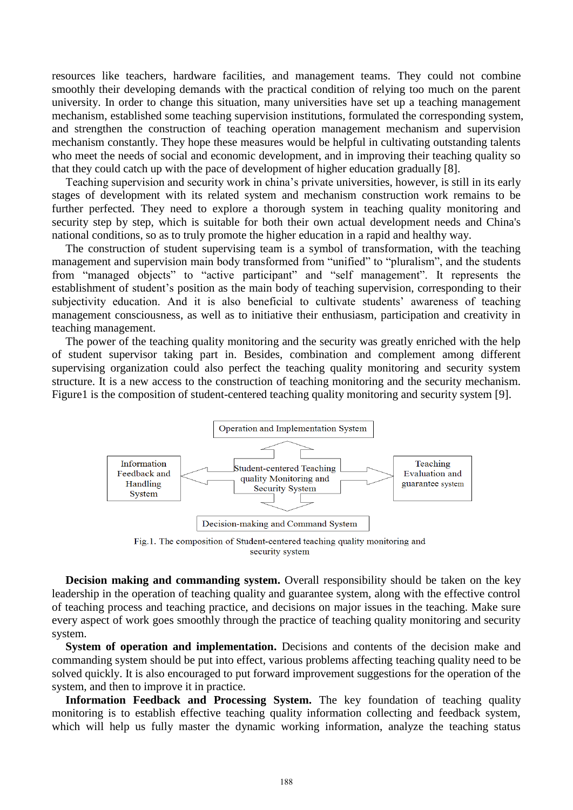resources like teachers, hardware facilities, and management teams. They could not combine smoothly their developing demands with the practical condition of relying too much on the parent university. In order to change this situation, many universities have set up a teaching management mechanism, established some teaching supervision institutions, formulated the corresponding system, and strengthen the construction of teaching operation management mechanism and supervision mechanism constantly. They hope these measures would be helpful in cultivating outstanding talents who meet the needs of social and economic development, and in improving their teaching quality so that they could catch up with the pace of development of higher education gradually [8].

Teaching supervision and security work in china's private universities, however, is still in its early stages of development with its related system and mechanism construction work remains to be further perfected. They need to explore a thorough system in teaching quality monitoring and security step by step, which is suitable for both their own actual development needs and China's national conditions, so as to truly promote the higher education in a rapid and healthy way.

The construction of student supervising team is a symbol of transformation, with the teaching management and supervision main body transformed from "unified" to "pluralism", and the students from "managed objects" to "active participant" and "self management". It represents the establishment of student's position as the main body of teaching supervision, corresponding to their subjectivity education. And it is also beneficial to cultivate students' awareness of teaching management consciousness, as well as to initiative their enthusiasm, participation and creativity in teaching management.

The power of the teaching quality monitoring and the security was greatly enriched with the help of student supervisor taking part in. Besides, combination and complement among different supervising organization could also perfect the teaching quality monitoring and security system structure. It is a new access to the construction of teaching monitoring and the security mechanism. Figure1 is the composition of student-centered teaching quality monitoring and security system [9].



Fig.1. The composition of Student-centered teaching quality monitoring and security system

**Decision making and commanding system.** Overall responsibility should be taken on the key leadership in the operation of teaching quality and guarantee system, along with the effective control of teaching process and teaching practice, and decisions on major issues in the teaching. Make sure every aspect of work goes smoothly through the practice of teaching quality monitoring and security system.

**System of operation and implementation.** Decisions and contents of the decision make and commanding system should be put into effect, various problems affecting teaching quality need to be solved quickly. It is also encouraged to put forward improvement suggestions for the operation of the system, and then to improve it in practice.

**Information Feedback and Processing System.** The key foundation of teaching quality monitoring is to establish effective teaching quality information collecting and feedback system, which will help us fully master the dynamic working information, analyze the teaching status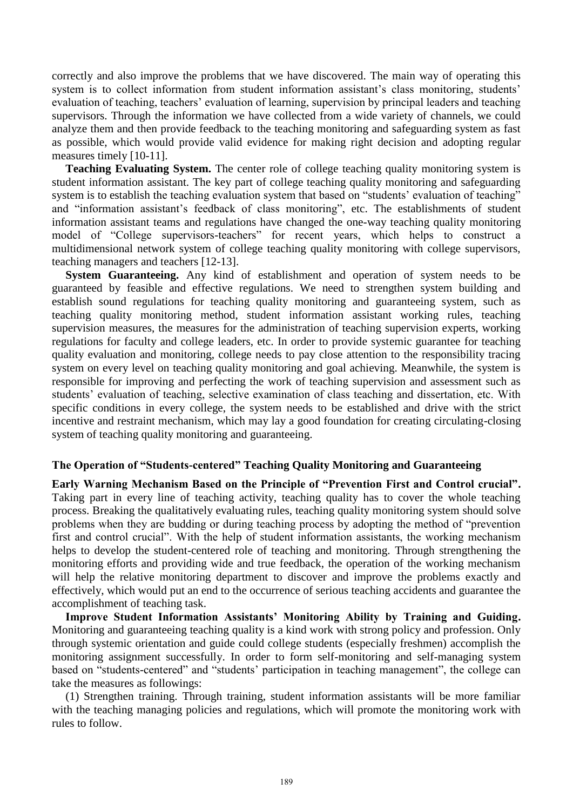correctly and also improve the problems that we have discovered. The main way of operating this system is to collect information from student information assistant's class monitoring, students' evaluation of teaching, teachers' evaluation of learning, supervision by principal leaders and teaching supervisors. Through the information we have collected from a wide variety of channels, we could analyze them and then provide feedback to the teaching monitoring and safeguarding system as fast as possible, which would provide valid evidence for making right decision and adopting regular measures timely [10-11].

**Teaching Evaluating System.** The center role of college teaching quality monitoring system is student information assistant. The key part of college teaching quality monitoring and safeguarding system is to establish the teaching evaluation system that based on "students' evaluation of teaching" and "information assistant's feedback of class monitoring", etc. The establishments of student information assistant teams and regulations have changed the one-way teaching quality monitoring model of "College supervisors-teachers" for recent years, which helps to construct a multidimensional network system of college teaching quality monitoring with college supervisors, teaching managers and teachers [12-13].

**System Guaranteeing.** Any kind of establishment and operation of system needs to be guaranteed by feasible and effective regulations. We need to strengthen system building and establish sound regulations for teaching quality monitoring and guaranteeing system, such as teaching quality monitoring method, student information assistant working rules, teaching supervision measures, the measures for the administration of teaching supervision experts, working regulations for faculty and college leaders, etc. In order to provide systemic guarantee for teaching quality evaluation and monitoring, college needs to pay close attention to the responsibility tracing system on every level on teaching quality monitoring and goal achieving. Meanwhile, the system is responsible for improving and perfecting the work of teaching supervision and assessment such as students' evaluation of teaching, selective examination of class teaching and dissertation, etc. With specific conditions in every college, the system needs to be established and drive with the strict incentive and restraint mechanism, which may lay a good foundation for creating circulating-closing system of teaching quality monitoring and guaranteeing.

### **The Operation of "Students-centered" Teaching Quality Monitoring and Guaranteeing**

**Early Warning Mechanism Based on the Principle of "Prevention First and Control crucial".**  Taking part in every line of teaching activity, teaching quality has to cover the whole teaching process. Breaking the qualitatively evaluating rules, teaching quality monitoring system should solve problems when they are budding or during teaching process by adopting the method of "prevention first and control crucial". With the help of student information assistants, the working mechanism helps to develop the student-centered role of teaching and monitoring. Through strengthening the monitoring efforts and providing wide and true feedback, the operation of the working mechanism will help the relative monitoring department to discover and improve the problems exactly and effectively, which would put an end to the occurrence of serious teaching accidents and guarantee the accomplishment of teaching task.

**Improve Student Information Assistants' Monitoring Ability by Training and Guiding.**  Monitoring and guaranteeing teaching quality is a kind work with strong policy and profession. Only through systemic orientation and guide could college students (especially freshmen) accomplish the monitoring assignment successfully. In order to form self-monitoring and self-managing system based on "students-centered" and "students' participation in teaching management", the college can take the measures as followings:

(1) Strengthen training. Through training, student information assistants will be more familiar with the teaching managing policies and regulations, which will promote the monitoring work with rules to follow.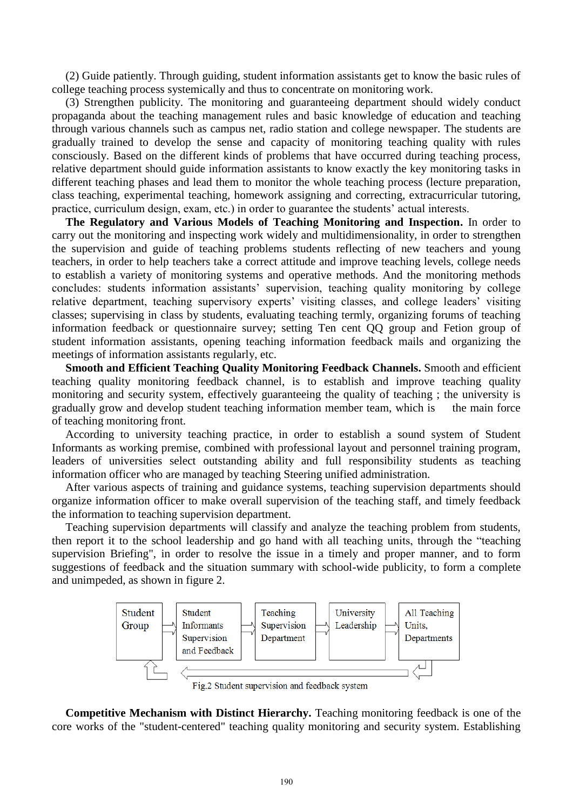(2) Guide patiently. Through guiding, student information assistants get to know the basic rules of college teaching process systemically and thus to concentrate on monitoring work.

(3) Strengthen publicity. The monitoring and guaranteeing department should widely conduct propaganda about the teaching management rules and basic knowledge of education and teaching through various channels such as campus net, radio station and college newspaper. The students are gradually trained to develop the sense and capacity of monitoring teaching quality with rules consciously. Based on the different kinds of problems that have occurred during teaching process, relative department should guide information assistants to know exactly the key monitoring tasks in different teaching phases and lead them to monitor the whole teaching process (lecture preparation, class teaching, experimental teaching, homework assigning and correcting, extracurricular tutoring, practice, curriculum design, exam, etc.) in order to guarantee the students' actual interests.

**The Regulatory and Various Models of Teaching Monitoring and Inspection.** In order to carry out the monitoring and inspecting work widely and multidimensionality, in order to strengthen the supervision and guide of teaching problems students reflecting of new teachers and young teachers, in order to help teachers take a correct attitude and improve teaching levels, college needs to establish a variety of monitoring systems and operative methods. And the monitoring methods concludes: students information assistants' supervision, teaching quality monitoring by college relative department, teaching supervisory experts' visiting classes, and college leaders' visiting classes; supervising in class by students, evaluating teaching termly, organizing forums of teaching information feedback or questionnaire survey; setting Ten cent QQ group and Fetion group of student information assistants, opening teaching information feedback mails and organizing the meetings of information assistants regularly, etc.

**Smooth and Efficient Teaching Quality Monitoring Feedback Channels.** Smooth and efficient teaching quality monitoring feedback channel, is to establish and improve teaching quality monitoring and security system, effectively guaranteeing the quality of teaching ; the university is gradually grow and develop student teaching information member team, which is the main force of teaching monitoring front.

According to university teaching practice, in order to establish a sound system of Student Informants as working premise, combined with professional layout and personnel training program, leaders of universities select outstanding ability and full responsibility students as teaching information officer who are managed by teaching Steering unified administration.

After various aspects of training and guidance systems, teaching supervision departments should organize information officer to make overall supervision of the teaching staff, and timely feedback the information to teaching supervision department.

Teaching supervision departments will classify and analyze the teaching problem from students, then report it to the school leadership and go hand with all teaching units, through the "teaching supervision Briefing", in order to resolve the issue in a timely and proper manner, and to form suggestions of feedback and the situation summary with school-wide publicity, to form a complete and unimpeded, as shown in figure 2.



Fig.2 Student supervision and feedback system

**Competitive Mechanism with Distinct Hierarchy.** Teaching monitoring feedback is one of the core works of the "student-centered" teaching quality monitoring and security system. Establishing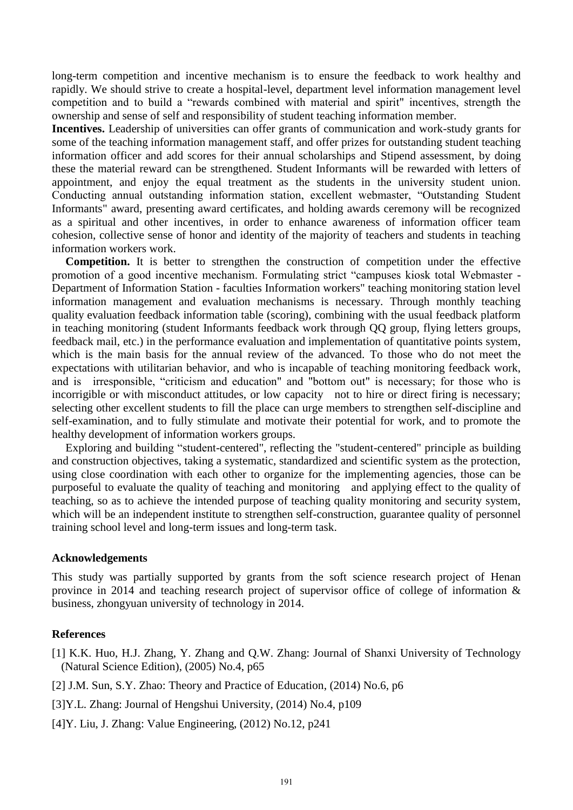long-term competition and incentive mechanism is to ensure the feedback to work healthy and rapidly. We should strive to create a hospital-level, department level information management level competition and to build a "rewards combined with material and spirit" incentives, strength the ownership and sense of self and responsibility of student teaching information member.

**Incentives.** Leadership of universities can offer grants of communication and work-study grants for some of the teaching information management staff, and offer prizes for outstanding student teaching information officer and add scores for their annual scholarships and Stipend assessment, by doing these the material reward can be strengthened. Student Informants will be rewarded with letters of appointment, and enjoy the equal treatment as the students in the university student union. Conducting annual outstanding information station, excellent webmaster, "Outstanding Student Informants" award, presenting award certificates, and holding awards ceremony will be recognized as a spiritual and other incentives, in order to enhance awareness of information officer team cohesion, collective sense of honor and identity of the majority of teachers and students in teaching information workers work.

**Competition.** It is better to strengthen the construction of competition under the effective promotion of a good incentive mechanism. Formulating strict "campuses kiosk total Webmaster - Department of Information Station - faculties Information workers" teaching monitoring station level information management and evaluation mechanisms is necessary. Through monthly teaching quality evaluation feedback information table (scoring), combining with the usual feedback platform in teaching monitoring (student Informants feedback work through QQ group, flying letters groups, feedback mail, etc.) in the performance evaluation and implementation of quantitative points system, which is the main basis for the annual review of the advanced. To those who do not meet the expectations with utilitarian behavior, and who is incapable of teaching monitoring feedback work, and is irresponsible, "criticism and education" and "bottom out" is necessary; for those who is incorrigible or with misconduct attitudes, or low capacity not to hire or direct firing is necessary; selecting other excellent students to fill the place can urge members to strengthen self-discipline and self-examination, and to fully stimulate and motivate their potential for work, and to promote the healthy development of information workers groups.

Exploring and building "student-centered", reflecting the "student-centered" principle as building and construction objectives, taking a systematic, standardized and scientific system as the protection, using close coordination with each other to organize for the implementing agencies, those can be purposeful to evaluate the quality of teaching and monitoring and applying effect to the quality of teaching, so as to achieve the intended purpose of teaching quality monitoring and security system, which will be an independent institute to strengthen self-construction, guarantee quality of personnel training school level and long-term issues and long-term task.

### **Acknowledgements**

This study was partially supported by grants from the soft science research project of Henan province in 2014 and teaching research project of supervisor office of college of information & business, zhongyuan university of technology in 2014.

#### **References**

- [1] K.K. Huo, H.J. Zhang, Y. Zhang and Q.W. Zhang: Journal of Shanxi University of Technology (Natural Science Edition), (2005) No.4, p65
- [2] J.M. Sun, S.Y. Zhao: Theory and Practice of Education, (2014) No.6, p6
- [3]Y.L. Zhang: Journal of Hengshui University, (2014) No.4, p109
- [4]Y. Liu, J. Zhang: Value Engineering, (2012) No.12, p241